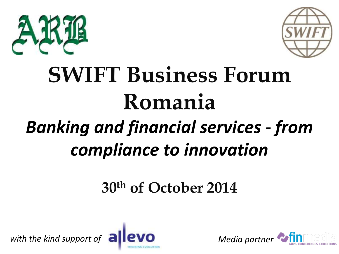



# **SWIFT Business Forum Romania** *Banking and financial services - from compliance to innovation*

## **30th of October 2014**



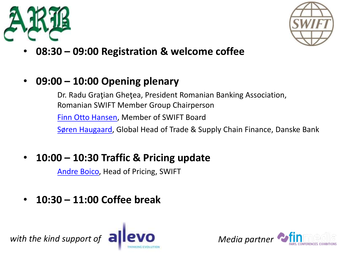



- **08:30 – 09:00 Registration & welcome coffee**
- **09:00 – 10:00 Opening plenary**

Dr. Radu Graţian Gheţea, President Romanian Banking Association, Romanian SWIFT Member Group Chairperson [Finn Otto Hansen](02 FHansen.pptx), Member of SWIFT Board Søren [Haugaard](03 SHaugaard.pptx), Global Head of Trade & Supply Chain Finance, Danske Bank

• **10:00 – 10:30 Traffic & Pricing update**

[Andre Boico](04 ABoico.pptx), Head of Pricing, SWIFT

• **10:30 – 11:00 Coffee break**

with the kind support of **allevo** Media partner



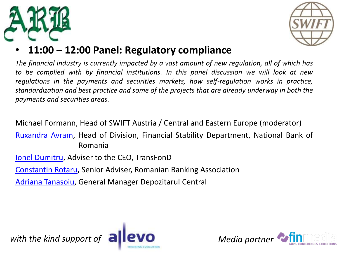



### • **11:00 – 12:00 Panel: Regulatory compliance**

*The financial industry is currently impacted by a vast amount of new regulation, all of which has to be complied with by financial institutions. In this panel discussion we will look at new regulations in the payments and securities markets, how self-regulation works in practice, standardization and best practice and some of the projects that are already underway in both the payments and securities areas.*

Michael Formann, Head of SWIFT Austria / Central and Eastern Europe (moderator)

[Ruxandra](06 RAvram.ppt) Avram, Head of Division, Financial Stability Department, National Bank of Romania

Ionel [Dumitru](07 IDumitru.pptx), Adviser to the CEO, TransFonD

[Constantin](08 CRotaru.PPTX) Rotaru, Senior Adviser, Romanian Banking Association

Adriana [Tanasoiu,](09 ATanasoiu.pptx) General Manager Depozitarul Central



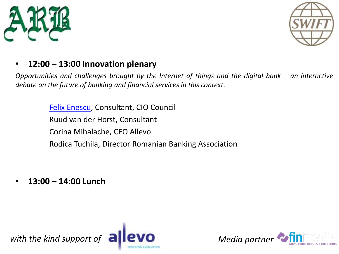



#### • **12:00 – 13:00 Innovation plenary**

*Opportunities and challenges brought by the Internet of things and the digital bank – an interactive debate on the future of banking and financial services in this context.*

> Felix Enescu, Consultant, CIO Council Ruud van der Horst, Consultant Corina Mihalache, CEO Allevo Rodica Tuchila, Director Romanian Banking Association

• **13:00 – 14:00 Lunch**



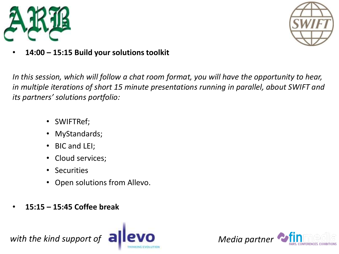



• **14:00 – 15:15 Build your solutions toolkit**

*In this session, which will follow a chat room format, you will have the opportunity to hear, in multiple iterations of short 15 minute presentations running in parallel, about SWIFT and its partners' solutions portfolio:* 

- SWIFTRef;
- MyStandards;
- BIC and LEI;
- Cloud services;
- Securities
- Open solutions from Allevo.
- **15:15 – 15:45 Coffee break**

with the kind support of **allevo** Media partner



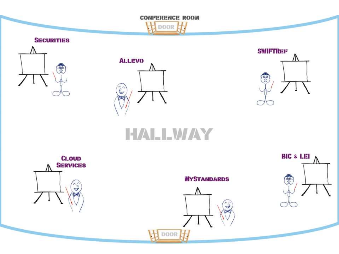**CONFERENCE ROOM** HOOOR H **SECURITIES SWIFTREF ALLEVO**  $68300$ **CES** 

## HALLWAY

 $\hat{\zeta}$ 

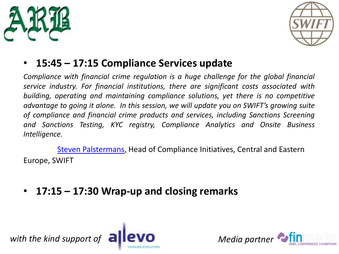



### • **15:45 – 17:15 Compliance Services update**

*Compliance with financial crime regulation is a huge challenge for the global financial service industry. For financial institutions, there are significant costs associated with building, operating and maintaining compliance solutions, yet there is no competitive advantage to going it alone. In this session, we will update you on SWIFT's growing suite of compliance and financial crime products and services, including Sanctions Screening and Sanctions Testing, KYC registry, Compliance Analytics and Onsite Business Intelligence.*

[Steven Palstermans](11 SPalstermans.pdf), Head of Compliance Initiatives, Central and Eastern Europe, SWIFT

• **17:15 – 17:30 Wrap-up and closing remarks**